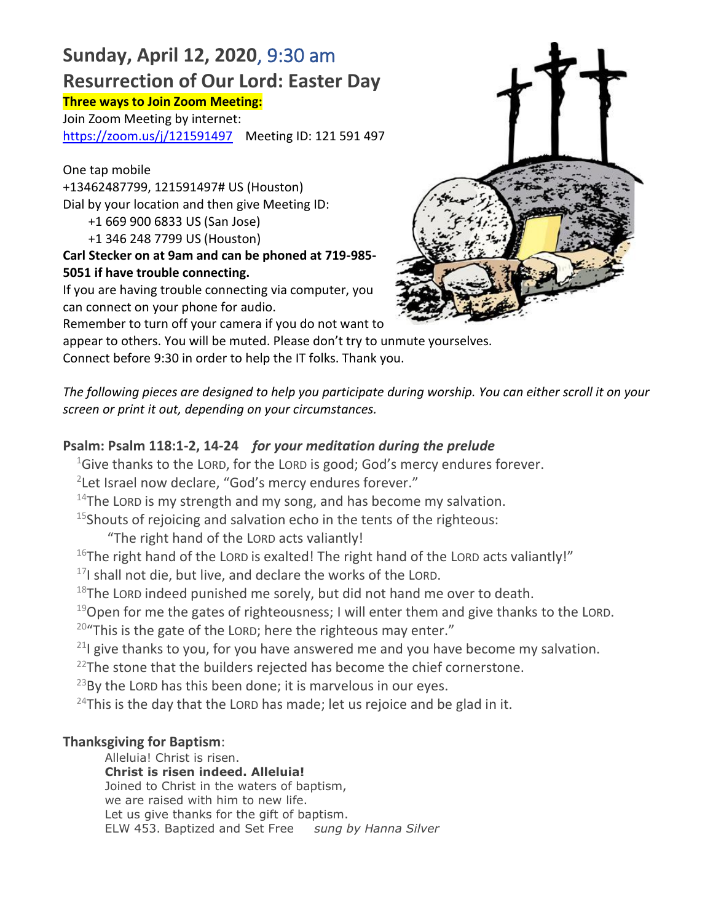# **Sunday, April 12, 2020**, 9:30 am **Resurrection of Our Lord: Easter Day**

#### **Three ways to Join Zoom Meeting:**

Join Zoom Meeting by internet: https://zoom.us/j/121591497 Meeting ID: 121 591 497

One tap mobile +13462487799, 121591497# US (Houston) Dial by your location and then give Meeting ID: +1 669 900 6833 US (San Jose)

+1 346 248 7799 US (Houston)

# **Carl Stecker on at 9am and can be phoned at 719-985- 5051 if have trouble connecting.**

If you are having trouble connecting via computer, you can connect on your phone for audio.

Remember to turn off your camera if you do not want to

appear to others. You will be muted. Please don't try to unmute yourselves.

Connect before 9:30 in order to help the IT folks. Thank you.

*The following pieces are designed to help you participate during worship. You can either scroll it on your screen or print it out, depending on your circumstances.* 

# **Psalm: Psalm 118:1-2, 14-24** *for your meditation during the prelude*

 $1$ Give thanks to the LORD, for the LORD is good; God's mercy endures forever.

<sup>2</sup>Let Israel now declare, "God's mercy endures forever."

 $14$ The LORD is my strength and my song, and has become my salvation.

 $15$ Shouts of rejoicing and salvation echo in the tents of the righteous:

"The right hand of the LORD acts valiantly!

 $16$ The right hand of the LORD is exalted! The right hand of the LORD acts valiantly!"

 $17$ I shall not die, but live, and declare the works of the LORD.

 $18$ The LORD indeed punished me sorely, but did not hand me over to death.

 $19$ Open for me the gates of righteousness; I will enter them and give thanks to the LORD.  $20$ "This is the gate of the LORD; here the righteous may enter."

 $21$  give thanks to you, for you have answered me and you have become my salvation.

 $22$ The stone that the builders rejected has become the chief cornerstone.

 $^{23}$ By the LORD has this been done; it is marvelous in our eyes.

<sup>24</sup>This is the day that the LORD has made; let us rejoice and be glad in it.

# **Thanksgiving for Baptism**:

Alleluia! Christ is risen. **Christ is risen indeed. Alleluia!** Joined to Christ in the waters of baptism, we are raised with him to new life. Let us give thanks for the gift of baptism. ELW 453. Baptized and Set Free *sung by Hanna Silver*

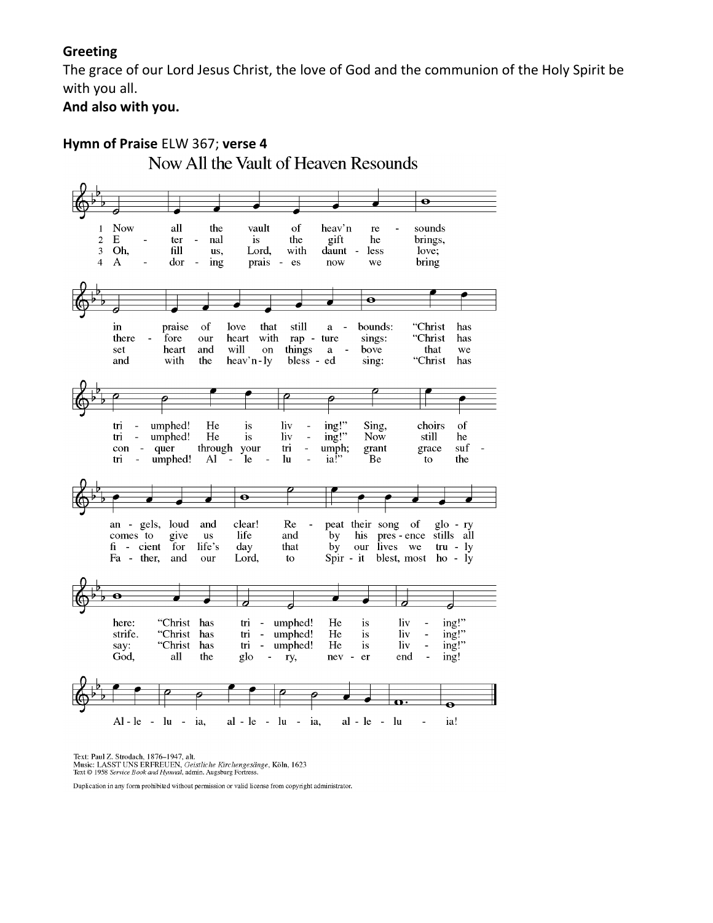#### **Greeting**

The grace of our Lord Jesus Christ, the love of God and the communion of the Holy Spirit be with you all.

**And also with you.**



Text: Paul Z. Strodach, 1876-1947, alt. Fourn Carl Constanting Property, Geistliche Kirchengesänge, Köln, 1623<br>Text © 1958 Service Book and Hymnal, admin. Augsburg Fortress.

Duplication in any form prohibited without permission or valid license from copyright administrator.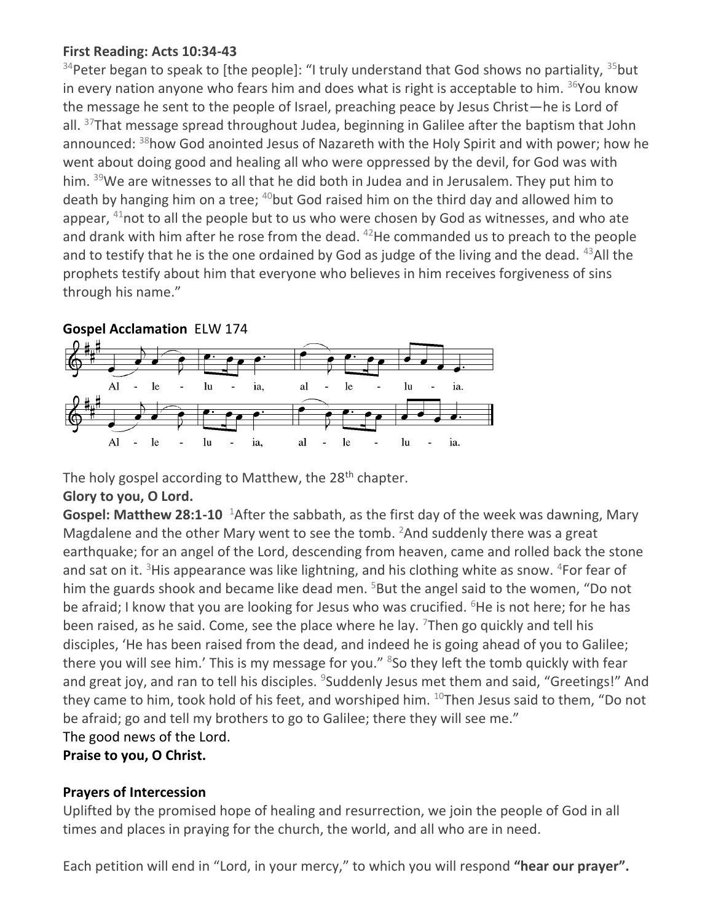## **First Reading: Acts 10:34-43**

 $34$ Peter began to speak to [the people]: "I truly understand that God shows no partiality,  $35$ but in every nation anyone who fears him and does what is right is acceptable to him.  $36$ You know the message he sent to the people of Israel, preaching peace by Jesus Christ—he is Lord of all. <sup>37</sup>That message spread throughout Judea, beginning in Galilee after the baptism that John announced: <sup>38</sup>how God anointed Jesus of Nazareth with the Holy Spirit and with power; how he went about doing good and healing all who were oppressed by the devil, for God was with him. <sup>39</sup>We are witnesses to all that he did both in Judea and in Jerusalem. They put him to death by hanging him on a tree;  $40$  but God raised him on the third day and allowed him to appear,  $41$ not to all the people but to us who were chosen by God as witnesses, and who ate and drank with him after he rose from the dead.  $42$ He commanded us to preach to the people and to testify that he is the one ordained by God as judge of the living and the dead.  $43$ All the prophets testify about him that everyone who believes in him receives forgiveness of sins through his name."



The holy gospel according to Matthew, the 28<sup>th</sup> chapter.

## **Glory to you, O Lord.**

Gospel: Matthew 28:1-10 <sup>1</sup>After the sabbath, as the first day of the week was dawning, Mary Magdalene and the other Mary went to see the tomb.  $2$ And suddenly there was a great earthquake; for an angel of the Lord, descending from heaven, came and rolled back the stone and sat on it. <sup>3</sup>His appearance was like lightning, and his clothing white as snow.  $4$ For fear of him the guards shook and became like dead men.  $5$ But the angel said to the women, "Do not be afraid; I know that you are looking for Jesus who was crucified. <sup>6</sup>He is not here; for he has been raised, as he said. Come, see the place where he lay.  $\frac{7}{7}$ Then go quickly and tell his disciples, 'He has been raised from the dead, and indeed he is going ahead of you to Galilee; there you will see him.' This is my message for you." <sup>8</sup>So they left the tomb quickly with fear and great joy, and ran to tell his disciples. <sup>9</sup>Suddenly Jesus met them and said, "Greetings!" And they came to him, took hold of his feet, and worshiped him.  $^{10}$ Then Jesus said to them, "Do not be afraid; go and tell my brothers to go to Galilee; there they will see me." The good news of the Lord.

**Praise to you, O Christ.**

## **Prayers of Intercession**

Uplifted by the promised hope of healing and resurrection, we join the people of God in all times and places in praying for the church, the world, and all who are in need.

Each petition will end in "Lord, in your mercy," to which you will respond **"hear our prayer".**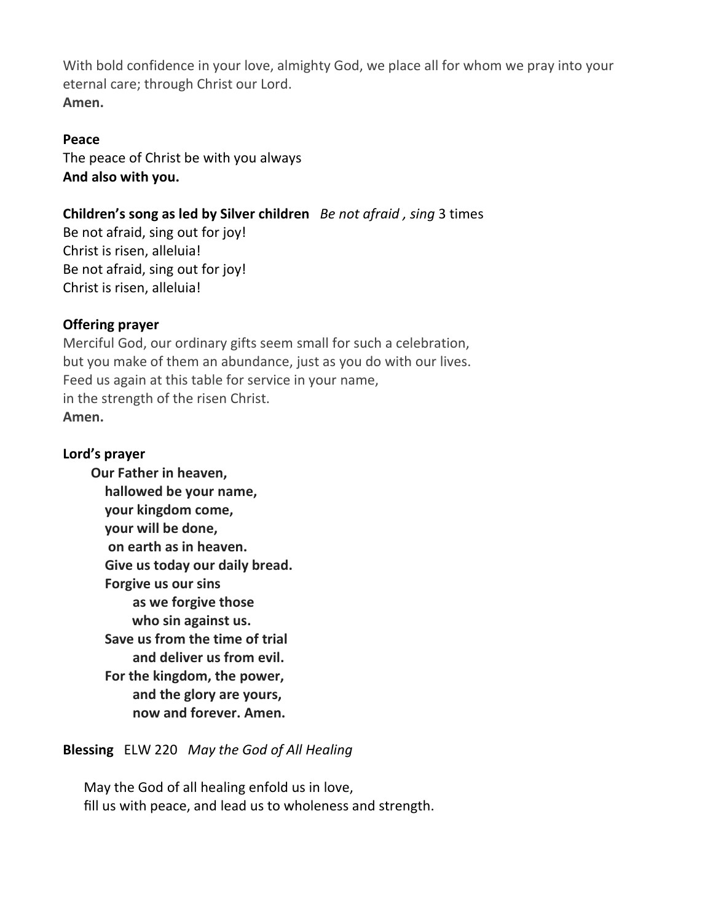With bold confidence in your love, almighty God, we place all for whom we pray into your eternal care; through Christ our Lord. **Amen.**

#### **Peace**

The peace of Christ be with you always **And also with you.**

## **Children's song as led by Silver children** *Be not afraid , sing* 3 times

Be not afraid, sing out for joy! Christ is risen, alleluia! Be not afraid, sing out for joy! Christ is risen, alleluia!

## **Offering prayer**

Merciful God, our ordinary gifts seem small for such a celebration, but you make of them an abundance, just as you do with our lives. Feed us again at this table for service in your name, in the strength of the risen Christ. **Amen.**

## **Lord's prayer**

**Our Father in heaven, hallowed be your name, your kingdom come, your will be done, on earth as in heaven. Give us today our daily bread. Forgive us our sins as we forgive those who sin against us. Save us from the time of trial and deliver us from evil. For the kingdom, the power, and the glory are yours, now and forever. Amen.**

## **Blessing** ELW 220 *May the God of All Healing*

May the God of all healing enfold us in love, fill us with peace, and lead us to wholeness and strength.